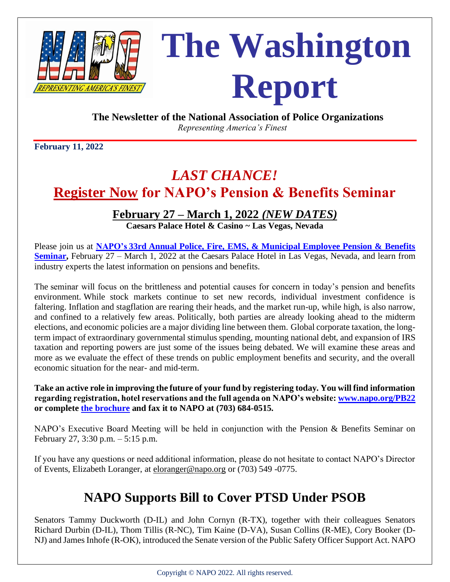

# **The Washington RepRESENTING AMERICA'S FINEST/** Report

**The Newsletter of the National Association of Police Organizations**

 *Representing America's Finest*

**February 11, 2022**

## *LAST CHANCE!* **[Register Now](https://www.napo.org/events/upcoming-events/33rd-annual-pension-benefits-seminar/register/) for NAPO's Pension & Benefits Seminar**

#### **February 27 – March 1, 2022** *(NEW DATES)*

**Caesars Palace Hotel & Casino ~ Las Vegas, Nevada**

Please join us at **NAPO's 33rd [Annual Police, Fire, EMS, & Municipal Employee Pension & Benefits](https://www.napo.org/events/upcoming-events/33rd-annual-pension-benefits-seminar/)  [Seminar,](https://www.napo.org/events/upcoming-events/33rd-annual-pension-benefits-seminar/)** February 27 – March 1, 2022 at the Caesars Palace Hotel in Las Vegas, Nevada, and learn from industry experts the latest information on pensions and benefits.

The seminar will focus on the brittleness and potential causes for concern in today's pension and benefits environment. While stock markets continue to set new records, individual investment confidence is faltering. Inflation and stagflation are rearing their heads, and the market run-up, while high, is also narrow, and confined to a relatively few areas. Politically, both parties are already looking ahead to the midterm elections, and economic policies are a major dividing line between them. Global corporate taxation, the longterm impact of extraordinary governmental stimulus spending, mounting national debt, and expansion of IRS taxation and reporting powers are just some of the issues being debated. We will examine these areas and more as we evaluate the effect of these trends on public employment benefits and security, and the overall economic situation for the near- and mid-term.

**Take an active role in improving the future of your fund by registering today. You will find information regarding registration, hotel reservations and the full agenda on NAPO's website: [www.napo.org/PB22](http://www.napo.org/PB22) or complete [the brochure](file://///napo-2k12/Share/AEdmiston/Washington%20Report/Jan%202022/NAPO%202022%20%20Pension%20&%20Benefit%20%20Registration.pdf) and fax it to NAPO at (703) 684-0515.**

NAPO's Executive Board Meeting will be held in conjunction with the Pension & Benefits Seminar on February 27, 3:30 p.m. – 5:15 p.m.

If you have any questions or need additional information, please do not hesitate to contact NAPO's Director of Events, Elizabeth Loranger, at [eloranger@napo.org](mailto:eloranger@napo.org) or (703) 549 -0775.

### **NAPO Supports Bill to Cover PTSD Under PSOB**

Senators Tammy Duckworth (D-IL) and John Cornyn (R-TX), together with their colleagues Senators Richard Durbin (D-IL), Thom Tillis (R-NC), Tim Kaine (D-VA), Susan Collins (R-ME), Cory Booker (D-NJ) and James Inhofe (R-OK), introduced the Senate version of the Public Safety Officer Support Act. NAPO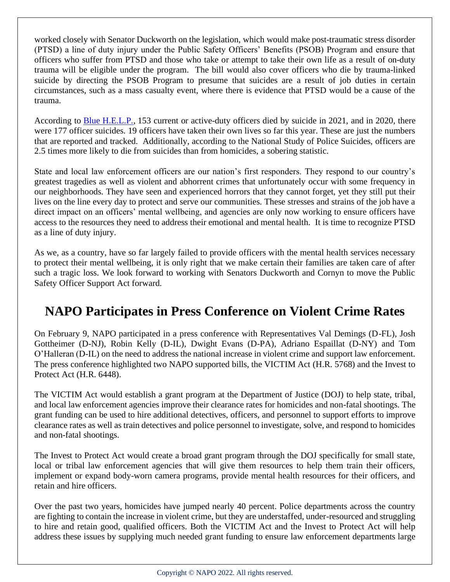worked closely with Senator Duckworth on the legislation, which would make post-traumatic stress disorder (PTSD) a line of duty injury under the Public Safety Officers' Benefits (PSOB) Program and ensure that officers who suffer from PTSD and those who take or attempt to take their own life as a result of on-duty trauma will be eligible under the program. The bill would also cover officers who die by trauma-linked suicide by directing the PSOB Program to presume that suicides are a result of job duties in certain circumstances, such as a mass casualty event, where there is evidence that PTSD would be a cause of the trauma.

According to [Blue H.E.L.P.,](https://bluehelp.org/) 153 current or active-duty officers died by suicide in 2021, and in 2020, there were 177 officer suicides. 19 officers have taken their own lives so far this year. These are just the numbers that are reported and tracked. Additionally, according to the National Study of Police Suicides, officers are 2.5 times more likely to die from suicides than from homicides, a sobering statistic.

State and local law enforcement officers are our nation's first responders. They respond to our country's greatest tragedies as well as violent and abhorrent crimes that unfortunately occur with some frequency in our neighborhoods. They have seen and experienced horrors that they cannot forget, yet they still put their lives on the line every day to protect and serve our communities. These stresses and strains of the job have a direct impact on an officers' mental wellbeing, and agencies are only now working to ensure officers have access to the resources they need to address their emotional and mental health. It is time to recognize PTSD as a line of duty injury.

As we, as a country, have so far largely failed to provide officers with the mental health services necessary to protect their mental wellbeing, it is only right that we make certain their families are taken care of after such a tragic loss. We look forward to working with Senators Duckworth and Cornyn to move the Public Safety Officer Support Act forward.

#### **NAPO Participates in Press Conference on Violent Crime Rates**

On February 9, NAPO participated in a press conference with Representatives Val Demings (D-FL), Josh Gottheimer (D-NJ), Robin Kelly (D-IL), Dwight Evans (D-PA), Adriano Espaillat (D-NY) and Tom O'Halleran (D-IL) on the need to address the national increase in violent crime and support law enforcement. The press conference highlighted two NAPO supported bills, the VICTIM Act (H.R. 5768) and the Invest to Protect Act (H.R. 6448).

The VICTIM Act would establish a grant program at the Department of Justice (DOJ) to help state, tribal, and local law enforcement agencies improve their clearance rates for homicides and non-fatal shootings. The grant funding can be used to hire additional detectives, officers, and personnel to support efforts to improve clearance rates as well as train detectives and police personnel to investigate, solve, and respond to homicides and non-fatal shootings.

The Invest to Protect Act would create a broad grant program through the DOJ specifically for small state, local or tribal law enforcement agencies that will give them resources to help them train their officers, implement or expand body-worn camera programs, provide mental health resources for their officers, and retain and hire officers.

Over the past two years, homicides have jumped nearly 40 percent. Police departments across the country are fighting to contain the increase in violent crime, but they are understaffed, under-resourced and struggling to hire and retain good, qualified officers. Both the VICTIM Act and the Invest to Protect Act will help address these issues by supplying much needed grant funding to ensure law enforcement departments large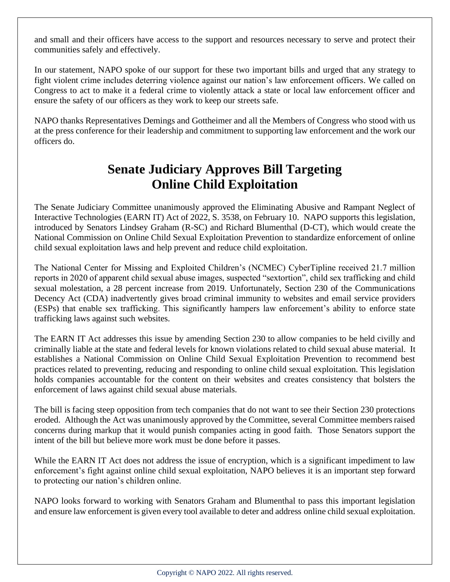and small and their officers have access to the support and resources necessary to serve and protect their communities safely and effectively.

In our statement, NAPO spoke of our support for these two important bills and urged that any strategy to fight violent crime includes deterring violence against our nation's law enforcement officers. We called on Congress to act to make it a federal crime to violently attack a state or local law enforcement officer and ensure the safety of our officers as they work to keep our streets safe.

NAPO thanks Representatives Demings and Gottheimer and all the Members of Congress who stood with us at the press conference for their leadership and commitment to supporting law enforcement and the work our officers do.

#### **Senate Judiciary Approves Bill Targeting Online Child Exploitation**

The Senate Judiciary Committee unanimously approved the Eliminating Abusive and Rampant Neglect of Interactive Technologies (EARN IT) Act of 2022, S. 3538, on February 10. NAPO supports this legislation, introduced by Senators Lindsey Graham (R-SC) and Richard Blumenthal (D-CT), which would create the National Commission on Online Child Sexual Exploitation Prevention to standardize enforcement of online child sexual exploitation laws and help prevent and reduce child exploitation.

The National Center for Missing and Exploited Children's (NCMEC) CyberTipline received 21.7 million reports in 2020 of apparent child sexual abuse images, suspected "sextortion", child sex trafficking and child sexual molestation, a 28 percent increase from 2019. Unfortunately, Section 230 of the Communications Decency Act (CDA) inadvertently gives broad criminal immunity to websites and email service providers (ESPs) that enable sex trafficking. This significantly hampers law enforcement's ability to enforce state trafficking laws against such websites.

The EARN IT Act addresses this issue by amending Section 230 to allow companies to be held civilly and criminally liable at the state and federal levels for known violations related to child sexual abuse material. It establishes a National Commission on Online Child Sexual Exploitation Prevention to recommend best practices related to preventing, reducing and responding to online child sexual exploitation. This legislation holds companies accountable for the content on their websites and creates consistency that bolsters the enforcement of laws against child sexual abuse materials.

The bill is facing steep opposition from tech companies that do not want to see their Section 230 protections eroded. Although the Act was unanimously approved by the Committee, several Committee members raised concerns during markup that it would punish companies acting in good faith. Those Senators support the intent of the bill but believe more work must be done before it passes.

While the EARN IT Act does not address the issue of encryption, which is a significant impediment to law enforcement's fight against online child sexual exploitation, NAPO believes it is an important step forward to protecting our nation's children online.

NAPO looks forward to working with Senators Graham and Blumenthal to pass this important legislation and ensure law enforcement is given every tool available to deter and address online child sexual exploitation.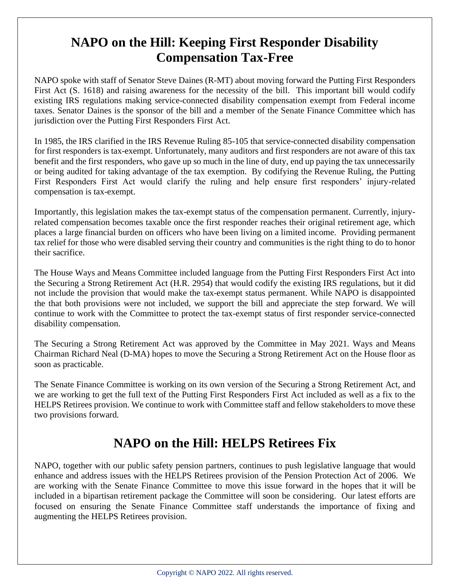#### **NAPO on the Hill: Keeping First Responder Disability Compensation Tax-Free**

NAPO spoke with staff of Senator Steve Daines (R-MT) about moving forward the Putting First Responders First Act (S. 1618) and raising awareness for the necessity of the bill. This important bill would codify existing IRS regulations making service-connected disability compensation exempt from Federal income taxes. Senator Daines is the sponsor of the bill and a member of the Senate Finance Committee which has jurisdiction over the Putting First Responders First Act.

In 1985, the IRS clarified in the IRS Revenue Ruling 85-105 that service-connected disability compensation for first responders is tax-exempt. Unfortunately, many auditors and first responders are not aware of this tax benefit and the first responders, who gave up so much in the line of duty, end up paying the tax unnecessarily or being audited for taking advantage of the tax exemption. By codifying the Revenue Ruling, the Putting First Responders First Act would clarify the ruling and help ensure first responders' injury-related compensation is tax-exempt.

Importantly, this legislation makes the tax-exempt status of the compensation permanent. Currently, injuryrelated compensation becomes taxable once the first responder reaches their original retirement age, which places a large financial burden on officers who have been living on a limited income. Providing permanent tax relief for those who were disabled serving their country and communities is the right thing to do to honor their sacrifice.

The House Ways and Means Committee included language from the Putting First Responders First Act into the Securing a Strong Retirement Act (H.R. 2954) that would codify the existing IRS regulations, but it did not include the provision that would make the tax-exempt status permanent. While NAPO is disappointed the that both provisions were not included, we support the bill and appreciate the step forward. We will continue to work with the Committee to protect the tax-exempt status of first responder service-connected disability compensation.

The Securing a Strong Retirement Act was approved by the Committee in May 2021. Ways and Means Chairman Richard Neal (D-MA) hopes to move the Securing a Strong Retirement Act on the House floor as soon as practicable.

The Senate Finance Committee is working on its own version of the Securing a Strong Retirement Act, and we are working to get the full text of the Putting First Responders First Act included as well as a fix to the HELPS Retirees provision. We continue to work with Committee staff and fellow stakeholders to move these two provisions forward.

#### **NAPO on the Hill: HELPS Retirees Fix**

NAPO, together with our public safety pension partners, continues to push legislative language that would enhance and address issues with the HELPS Retirees provision of the Pension Protection Act of 2006. We are working with the Senate Finance Committee to move this issue forward in the hopes that it will be included in a bipartisan retirement package the Committee will soon be considering. Our latest efforts are focused on ensuring the Senate Finance Committee staff understands the importance of fixing and augmenting the HELPS Retirees provision.